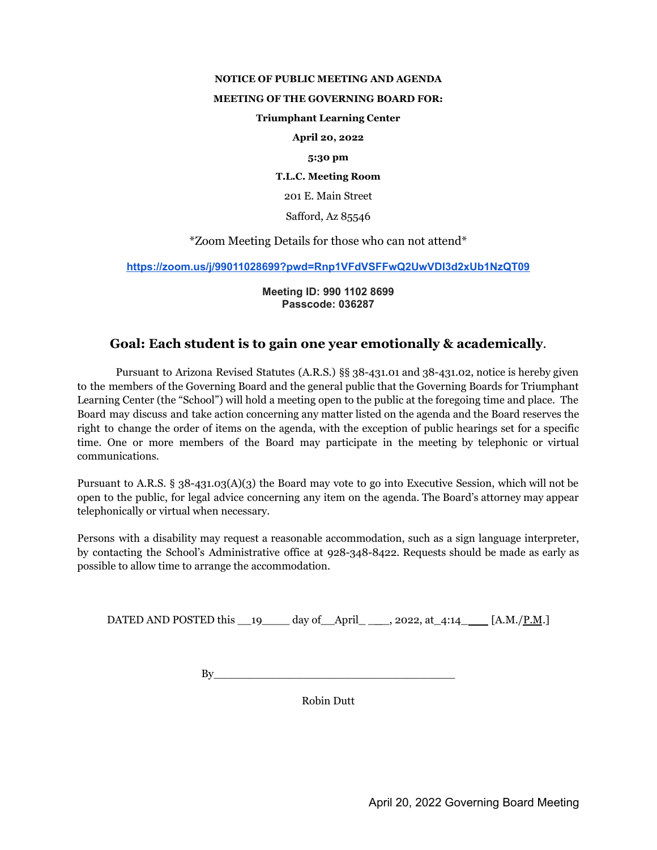#### **NOTICE OF PUBLIC MEETING AND AGENDA**

#### **MEETING OF THE GOVERNING BOARD FOR:**

#### **Triumphant Learning Center**

**April 20, 2022**

#### **5:30 pm**

**T.L.C. Meeting Room**

201 E. Main Street

Safford, Az 85546

\*Zoom Meeting Details for those who can not attend\*

**<https://zoom.us/j/99011028699?pwd=Rnp1VFdVSFFwQ2UwVDI3d2xUb1NzQT09>**

**Meeting ID: 990 1102 8699 Passcode: 036287**

## **Goal: Each student is to gain one year emotionally & academically**.

Pursuant to Arizona Revised Statutes (A.R.S.) §§ 38-431.01 and 38-431.02, notice is hereby given to the members of the Governing Board and the general public that the Governing Boards for Triumphant Learning Center (the "School") will hold a meeting open to the public at the foregoing time and place. The Board may discuss and take action concerning any matter listed on the agenda and the Board reserves the right to change the order of items on the agenda, with the exception of public hearings set for a specific time. One or more members of the Board may participate in the meeting by telephonic or virtual communications.

Pursuant to A.R.S. § 38-431.03(A)(3) the Board may vote to go into Executive Session, which will not be open to the public, for legal advice concerning any item on the agenda. The Board's attorney may appear telephonically or virtual when necessary.

Persons with a disability may request a reasonable accommodation, such as a sign language interpreter, by contacting the School's Administrative office at 928-348-8422. Requests should be made as early as possible to allow time to arrange the accommodation.

DATED AND POSTED this \_\_19\_\_\_\_ day of\_\_April\_ \_**\_**\_, 2022, at\_4:14\_ [A.M./P.M.]

 $Bv$ 

Robin Dutt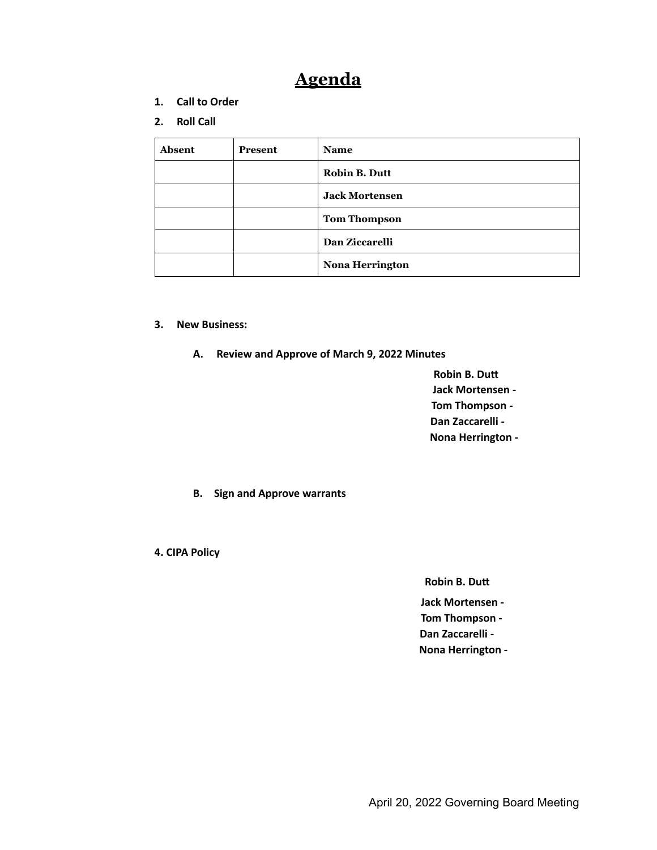# **Agenda**

- **1. Call to Order**
- **2. Roll Call**

| Absent | Present | <b>Name</b>            |
|--------|---------|------------------------|
|        |         | <b>Robin B. Dutt</b>   |
|        |         | <b>Jack Mortensen</b>  |
|        |         | <b>Tom Thompson</b>    |
|        |         | Dan Ziccarelli         |
|        |         | <b>Nona Herrington</b> |

- **3. New Business:**
	- **A. Review and Approve of March 9, 2022 Minutes**
		- **Robin B. Du Jack Mortensen - Tom Thompson - Dan Zaccarelli - Nona Herrington -**

**B. Sign and Approve warrants**

**4. CIPA Policy**

**Robin B. Du**

**Jack Mortensen - Tom Thompson - Dan Zaccarelli - Nona Herrington -**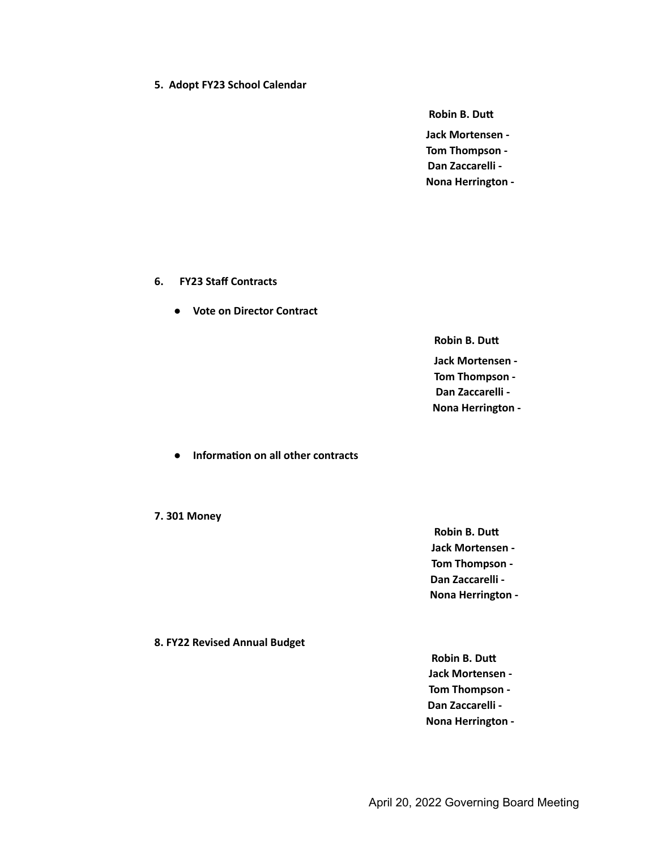**5. Adopt FY23 School Calendar**

**Robin B. Du Jack Mortensen - Tom Thompson - Dan Zaccarelli - Nona Herrington -**

#### **6. FY23 Staff Contracts**

**● Vote on Director Contract**

**Robin B. Du Jack Mortensen - Tom Thompson - Dan Zaccarelli - Nona Herrington -**

 $\bullet$  **Information** on all other contracts

**7. 301 Money**

**Robin B. Du Jack Mortensen - Tom Thompson - Dan Zaccarelli - Nona Herrington -**

**8. FY22 Revised Annual Budget**

**Robin B. Du Jack Mortensen - Tom Thompson - Dan Zaccarelli - Nona Herrington -**